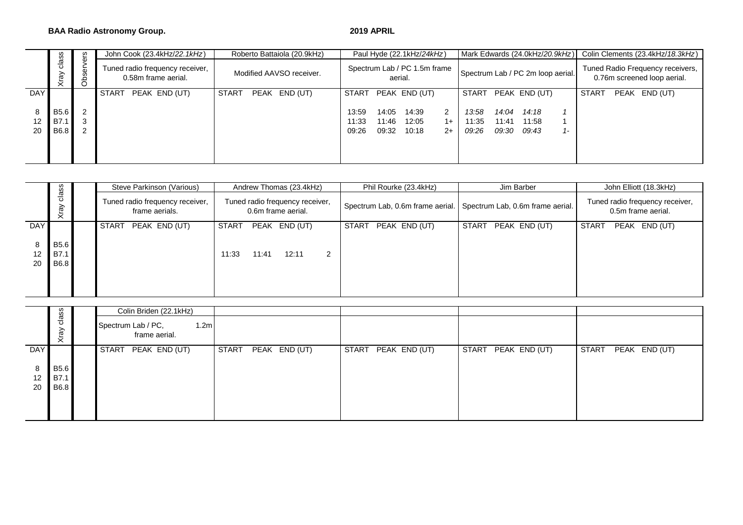### **BAA Radio Astronomy Group.** 2019 APRIL

|                | တွ                                        | ၯ<br>$\overline{\phantom{0}}$ | John Cook (23.4kHz/22.1kHz)                            | Roberto Battaiola (20.9kHz)   | Paul Hyde (22.1kHz/24kHz)                                                                          | Mark Edwards (24.0kHz/20.9kHz)                                                         | Colin Clements (23.4kHz/18.3kHz)                                |  |  |  |  |  |
|----------------|-------------------------------------------|-------------------------------|--------------------------------------------------------|-------------------------------|----------------------------------------------------------------------------------------------------|----------------------------------------------------------------------------------------|-----------------------------------------------------------------|--|--|--|--|--|
|                | <u>යි</u><br>ତ୍ରି                         | Ф<br>৯<br>ဖ<br>₽              | Tuned radio frequency receiver,<br>0.58m frame aerial. | Modified AAVSO receiver.      | Spectrum Lab / PC 1.5m frame<br>aerial.                                                            | Spectrum Lab / PC 2m loop aerial.                                                      | Tuned Radio Frequency receivers,<br>0.76m screened loop aerial. |  |  |  |  |  |
| <b>DAY</b>     |                                           |                               | <b>START</b><br>PEAK END (UT)                          | <b>START</b><br>PEAK END (UT) | PEAK END (UT)<br><b>START</b>                                                                      | START<br>PEAK END (UT)                                                                 | START<br>PEAK END (UT)                                          |  |  |  |  |  |
| 8<br>12.<br>20 | <b>B5.6</b><br><b>B7.1</b><br><b>B6.8</b> | ົ<br>ົ<br>ົ                   |                                                        |                               | 2<br>14:05<br>13:59<br>14:39<br>12:05<br>11:33<br>11:46<br>$1+$<br>09:32<br>$2+$<br>09:26<br>10:18 | 14:04<br>14:18<br>13:58<br>11:35<br>11:41<br>11:58<br>09:30<br>09:43<br>09:26<br>$1 -$ |                                                                 |  |  |  |  |  |

|               |                      | Steve Parkinson (Various)                               | Andrew Thomas (23.4kHz)                               | Phil Rourke (23.4kHz)            | Jim Barber                       | John Elliott (18.3kHz)                                |  |  |  |  |  |
|---------------|----------------------|---------------------------------------------------------|-------------------------------------------------------|----------------------------------|----------------------------------|-------------------------------------------------------|--|--|--|--|--|
|               | das<br>Xray          | Tuned radio frequency receiver,<br>frame aerials.       | Tuned radio frequency receiver,<br>0.6m frame aerial. | Spectrum Lab, 0.6m frame aerial. | Spectrum Lab, 0.6m frame aerial. | Tuned radio frequency receiver,<br>0.5m frame aerial. |  |  |  |  |  |
| <b>DAY</b>    |                      | START<br>PEAK END (UT)                                  | <b>START</b><br>PEAK END (UT)                         | <b>START</b><br>PEAK END (UT)    | <b>START</b><br>PEAK END (UT)    | <b>START</b><br>PEAK END (UT)                         |  |  |  |  |  |
| 8<br>12<br>20 | B5.6<br>B7.1<br>B6.8 |                                                         | 2<br>11:33<br>11:41<br>12:11                          |                                  |                                  |                                                       |  |  |  |  |  |
|               |                      | Colin Briden (22.1kHz)                                  |                                                       |                                  |                                  |                                                       |  |  |  |  |  |
|               | class<br>Xray        | 1.2 <sub>m</sub><br>Spectrum Lab / PC,<br>frame aerial. |                                                       |                                  |                                  |                                                       |  |  |  |  |  |

|               | ഗ                                                      |  | Colin Briden (22.1kHz)                                  |       |               |                            |                     |                            |
|---------------|--------------------------------------------------------|--|---------------------------------------------------------|-------|---------------|----------------------------|---------------------|----------------------------|
|               | clas:<br>$\widetilde{\mathfrak{g}}$<br>$\ddot{\times}$ |  | 1.2 <sub>m</sub><br>Spectrum Lab / PC,<br>frame aerial. |       |               |                            |                     |                            |
| <b>DAY</b>    |                                                        |  | START PEAK END (UT)                                     | START | PEAK END (UT) | $PEAK$ $END (UT)$<br>START | START PEAK END (UT) | START<br>$PEAK$ $END (UT)$ |
| 8<br>12<br>20 | <b>B5.6</b><br>B7.1<br><b>B6.8</b>                     |  |                                                         |       |               |                            |                     |                            |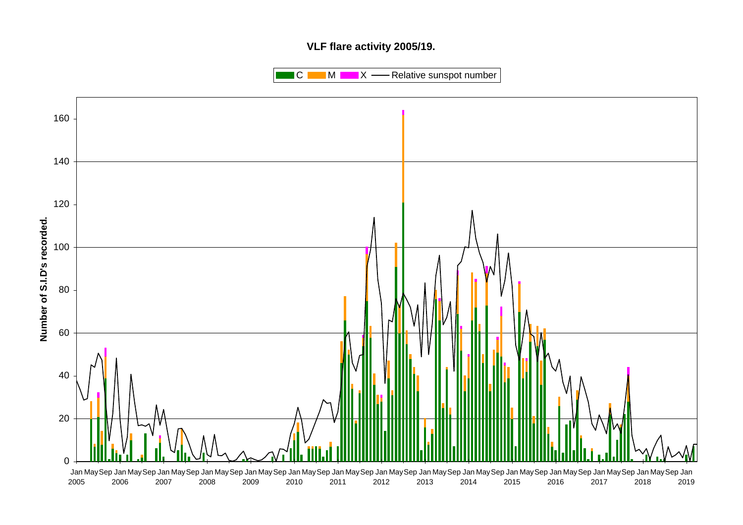## **VLF flare activity 2005/19.**

 $\blacksquare$  C  $\blacksquare$  M  $\blacksquare$   $\blacksquare$  X  $\blacksquare$  Relative sunspot number

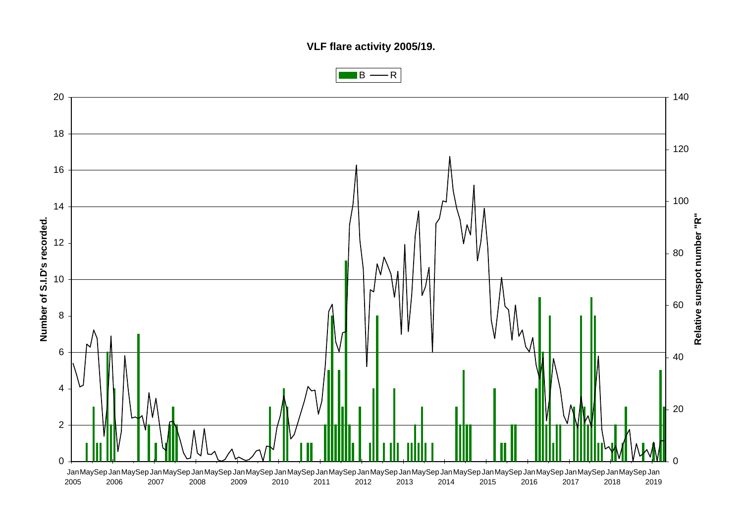**VLF flare activity 2005/19.**



 $B \longrightarrow R$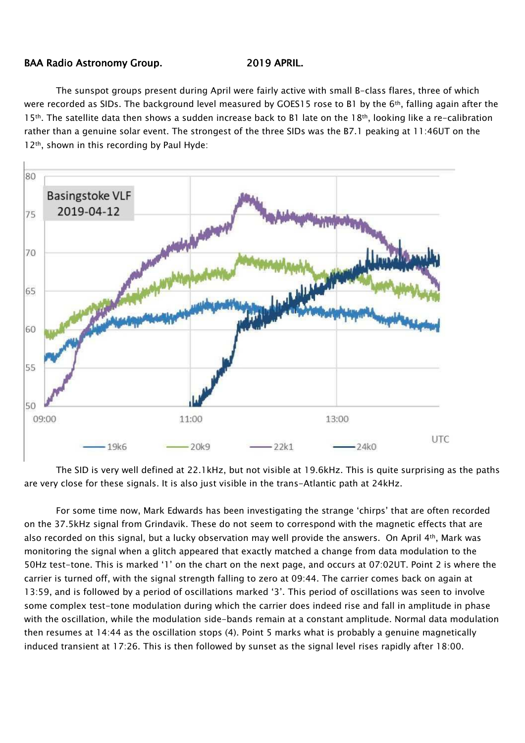### BAA Radio Astronomy Group. 2019 APRIL.

The sunspot groups present during April were fairly active with small B-class flares, three of which were recorded as SIDs. The background level measured by GOES15 rose to B1 by the 6<sup>th</sup>, falling again after the  $15<sup>th</sup>$ . The satellite data then shows a sudden increase back to B1 late on the 18<sup>th</sup>, looking like a re-calibration rather than a genuine solar event. The strongest of the three SIDs was the B7.1 peaking at 11:46UT on the 12<sup>th</sup>, shown in this recording by Paul Hyde:



The SID is very well defined at 22.1kHz, but not visible at 19.6kHz. This is quite surprising as the paths are very close for these signals. It is also just visible in the trans-Atlantic path at 24kHz.

For some time now, Mark Edwards has been investigating the strange 'chirps' that are often recorded on the 37.5kHz signal from Grindavik. These do not seem to correspond with the magnetic effects that are also recorded on this signal, but a lucky observation may well provide the answers. On April 4th, Mark was monitoring the signal when a glitch appeared that exactly matched a change from data modulation to the 50Hz test-tone. This is marked '1' on the chart on the next page, and occurs at 07:02UT. Point 2 is where the carrier is turned off, with the signal strength falling to zero at 09:44. The carrier comes back on again at 13:59, and is followed by a period of oscillations marked '3'. This period of oscillations was seen to involve some complex test-tone modulation during which the carrier does indeed rise and fall in amplitude in phase with the oscillation, while the modulation side-bands remain at a constant amplitude. Normal data modulation then resumes at 14:44 as the oscillation stops (4). Point 5 marks what is probably a genuine magnetically induced transient at 17:26. This is then followed by sunset as the signal level rises rapidly after 18:00.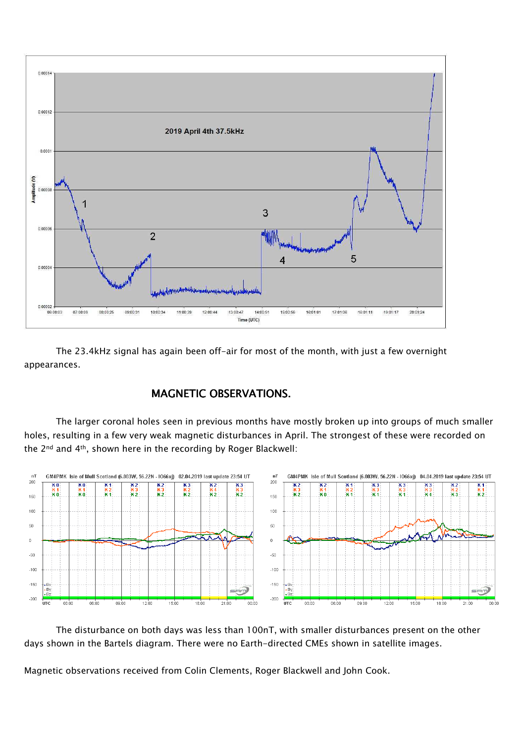

The 23.4kHz signal has again been off-air for most of the month, with just a few overnight appearances.

# MAGNETIC OBSERVATIONS.

The larger coronal holes seen in previous months have mostly broken up into groups of much smaller holes, resulting in a few very weak magnetic disturbances in April. The strongest of these were recorded on the 2nd and 4th, shown here in the recording by Roger Blackwell:



The disturbance on both days was less than 100nT, with smaller disturbances present on the other days shown in the Bartels diagram. There were no Earth-directed CMEs shown in satellite images.

Magnetic observations received from Colin Clements, Roger Blackwell and John Cook.